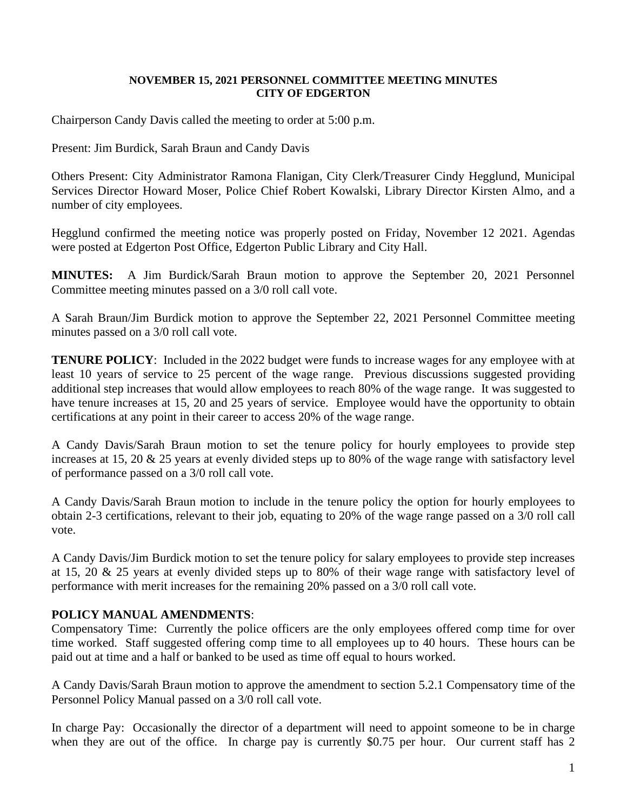## **NOVEMBER 15, 2021 PERSONNEL COMMITTEE MEETING MINUTES CITY OF EDGERTON**

Chairperson Candy Davis called the meeting to order at 5:00 p.m.

Present: Jim Burdick, Sarah Braun and Candy Davis

Others Present: City Administrator Ramona Flanigan, City Clerk/Treasurer Cindy Hegglund, Municipal Services Director Howard Moser, Police Chief Robert Kowalski, Library Director Kirsten Almo, and a number of city employees.

Hegglund confirmed the meeting notice was properly posted on Friday, November 12 2021. Agendas were posted at Edgerton Post Office, Edgerton Public Library and City Hall.

**MINUTES:** A Jim Burdick/Sarah Braun motion to approve the September 20, 2021 Personnel Committee meeting minutes passed on a 3/0 roll call vote.

A Sarah Braun/Jim Burdick motion to approve the September 22, 2021 Personnel Committee meeting minutes passed on a 3/0 roll call vote.

**TENURE POLICY**: Included in the 2022 budget were funds to increase wages for any employee with at least 10 years of service to 25 percent of the wage range. Previous discussions suggested providing additional step increases that would allow employees to reach 80% of the wage range. It was suggested to have tenure increases at 15, 20 and 25 years of service. Employee would have the opportunity to obtain certifications at any point in their career to access 20% of the wage range.

A Candy Davis/Sarah Braun motion to set the tenure policy for hourly employees to provide step increases at 15, 20 & 25 years at evenly divided steps up to 80% of the wage range with satisfactory level of performance passed on a 3/0 roll call vote.

A Candy Davis/Sarah Braun motion to include in the tenure policy the option for hourly employees to obtain 2-3 certifications, relevant to their job, equating to 20% of the wage range passed on a 3/0 roll call vote.

A Candy Davis/Jim Burdick motion to set the tenure policy for salary employees to provide step increases at 15, 20 & 25 years at evenly divided steps up to 80% of their wage range with satisfactory level of performance with merit increases for the remaining 20% passed on a 3/0 roll call vote.

## **POLICY MANUAL AMENDMENTS**:

Compensatory Time: Currently the police officers are the only employees offered comp time for over time worked. Staff suggested offering comp time to all employees up to 40 hours. These hours can be paid out at time and a half or banked to be used as time off equal to hours worked.

A Candy Davis/Sarah Braun motion to approve the amendment to section 5.2.1 Compensatory time of the Personnel Policy Manual passed on a 3/0 roll call vote.

In charge Pay: Occasionally the director of a department will need to appoint someone to be in charge when they are out of the office. In charge pay is currently \$0.75 per hour. Our current staff has 2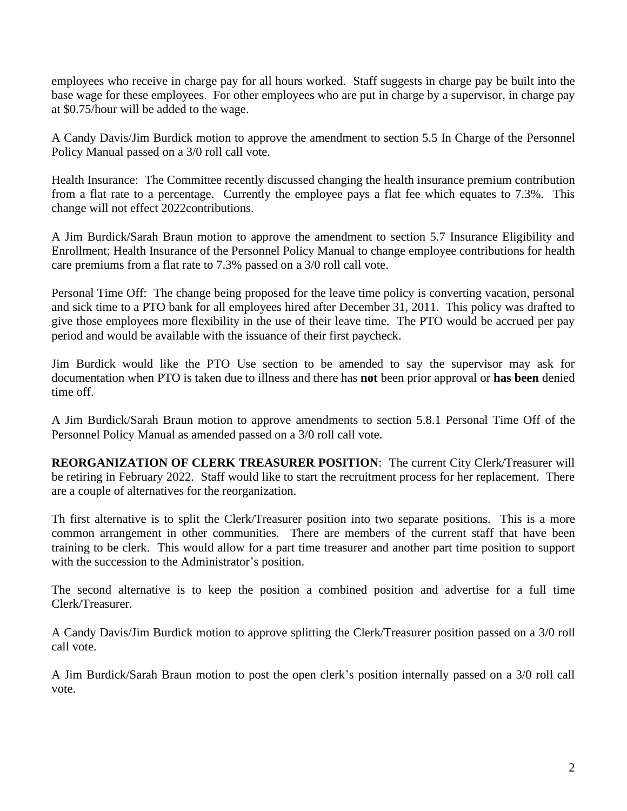employees who receive in charge pay for all hours worked. Staff suggests in charge pay be built into the base wage for these employees. For other employees who are put in charge by a supervisor, in charge pay at \$0.75/hour will be added to the wage.

A Candy Davis/Jim Burdick motion to approve the amendment to section 5.5 In Charge of the Personnel Policy Manual passed on a 3/0 roll call vote.

Health Insurance: The Committee recently discussed changing the health insurance premium contribution from a flat rate to a percentage. Currently the employee pays a flat fee which equates to 7.3%. This change will not effect 2022contributions.

A Jim Burdick/Sarah Braun motion to approve the amendment to section 5.7 Insurance Eligibility and Enrollment; Health Insurance of the Personnel Policy Manual to change employee contributions for health care premiums from a flat rate to 7.3% passed on a 3/0 roll call vote.

Personal Time Off: The change being proposed for the leave time policy is converting vacation, personal and sick time to a PTO bank for all employees hired after December 31, 2011. This policy was drafted to give those employees more flexibility in the use of their leave time. The PTO would be accrued per pay period and would be available with the issuance of their first paycheck.

Jim Burdick would like the PTO Use section to be amended to say the supervisor may ask for documentation when PTO is taken due to illness and there has **not** been prior approval or **has been** denied time off.

A Jim Burdick/Sarah Braun motion to approve amendments to section 5.8.1 Personal Time Off of the Personnel Policy Manual as amended passed on a 3/0 roll call vote.

**REORGANIZATION OF CLERK TREASURER POSITION**: The current City Clerk/Treasurer will be retiring in February 2022. Staff would like to start the recruitment process for her replacement. There are a couple of alternatives for the reorganization.

Th first alternative is to split the Clerk/Treasurer position into two separate positions. This is a more common arrangement in other communities. There are members of the current staff that have been training to be clerk. This would allow for a part time treasurer and another part time position to support with the succession to the Administrator's position.

The second alternative is to keep the position a combined position and advertise for a full time Clerk/Treasurer.

A Candy Davis/Jim Burdick motion to approve splitting the Clerk/Treasurer position passed on a 3/0 roll call vote.

A Jim Burdick/Sarah Braun motion to post the open clerk's position internally passed on a 3/0 roll call vote.